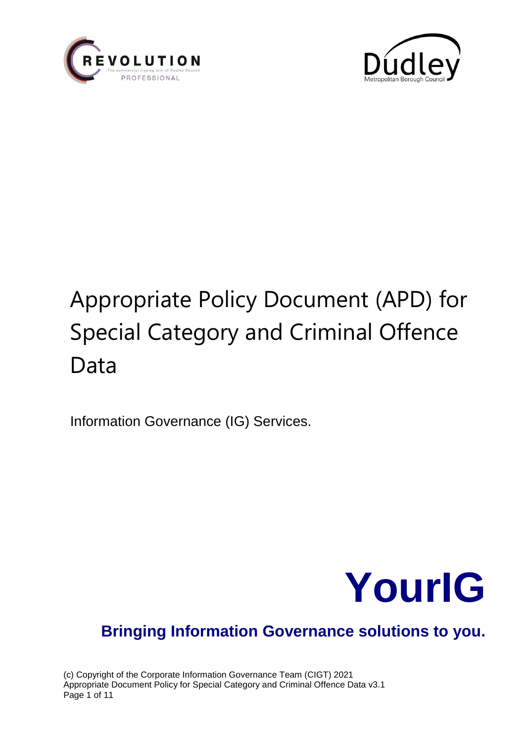



# Appropriate Policy Document (APD) for Special Category and Criminal Offence Data

Information Governance (IG) Services.



# **Bringing Information Governance solutions to you.**

(c) Copyright of the Corporate Information Governance Team (CIGT) 2021 Appropriate Document Policy for Special Category and Criminal Offence Data v3.1 Page 1 of 11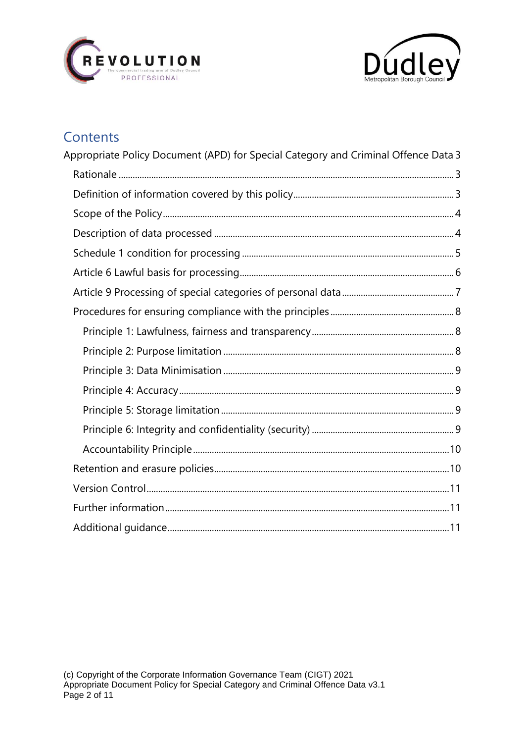



## Contents

| Appropriate Policy Document (APD) for Special Category and Criminal Offence Data 3 |  |
|------------------------------------------------------------------------------------|--|
|                                                                                    |  |
|                                                                                    |  |
|                                                                                    |  |
|                                                                                    |  |
|                                                                                    |  |
|                                                                                    |  |
|                                                                                    |  |
|                                                                                    |  |
|                                                                                    |  |
|                                                                                    |  |
|                                                                                    |  |
|                                                                                    |  |
|                                                                                    |  |
|                                                                                    |  |
|                                                                                    |  |
|                                                                                    |  |
|                                                                                    |  |
|                                                                                    |  |
|                                                                                    |  |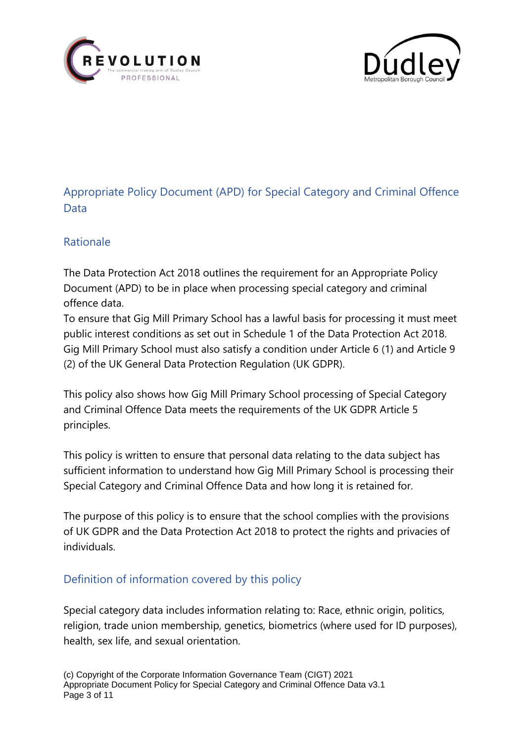<span id="page-2-0"></span>



### Appropriate Policy Document (APD) for Special Category and Criminal Offence **Data**

#### <span id="page-2-1"></span>Rationale

The Data Protection Act 2018 outlines the requirement for an Appropriate Policy Document (APD) to be in place when processing special category and criminal offence data.

To ensure that Gig Mill Primary School has a lawful basis for processing it must meet public interest conditions as set out in Schedule 1 of the Data Protection Act 2018. Gig Mill Primary School must also satisfy a condition under Article 6 (1) and Article 9 (2) of the UK General Data Protection Regulation (UK GDPR).

This policy also shows how Gig Mill Primary School processing of Special Category and Criminal Offence Data meets the requirements of the UK GDPR Article 5 principles.

This policy is written to ensure that personal data relating to the data subject has sufficient information to understand how Gig Mill Primary School is processing their Special Category and Criminal Offence Data and how long it is retained for.

The purpose of this policy is to ensure that the school complies with the provisions of UK GDPR and the Data Protection Act 2018 to protect the rights and privacies of individuals.

#### <span id="page-2-2"></span>Definition of information covered by this policy

Special category data includes information relating to: Race, ethnic origin, politics, religion, trade union membership, genetics, biometrics (where used for ID purposes), health, sex life, and sexual orientation.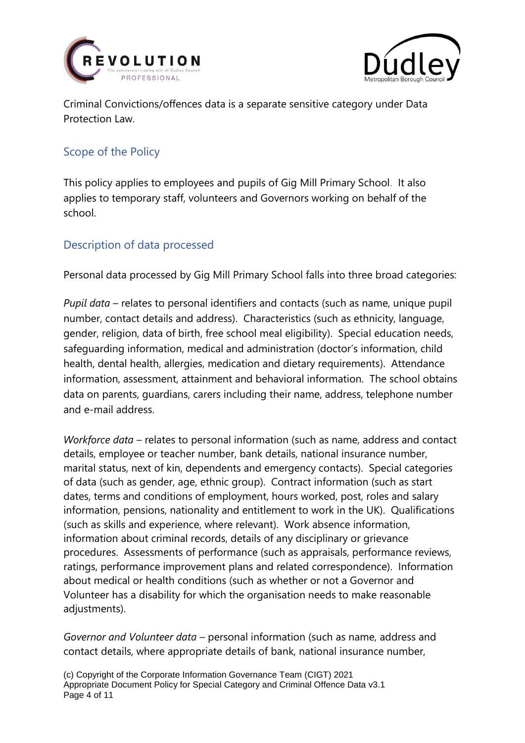



Criminal Convictions/offences data is a separate sensitive category under Data Protection Law.

#### <span id="page-3-0"></span>Scope of the Policy

This policy applies to employees and pupils of Gig Mill Primary School. It also applies to temporary staff, volunteers and Governors working on behalf of the school.

#### <span id="page-3-1"></span>Description of data processed

Personal data processed by Gig Mill Primary School falls into three broad categories:

*Pupil data* – relates to personal identifiers and contacts (such as name, unique pupil number, contact details and address). Characteristics (such as ethnicity, language, gender, religion, data of birth, free school meal eligibility). Special education needs, safeguarding information, medical and administration (doctor's information, child health, dental health, allergies, medication and dietary requirements). Attendance information, assessment, attainment and behavioral information. The school obtains data on parents, guardians, carers including their name, address, telephone number and e-mail address.

*Workforce data* – relates to personal information (such as name, address and contact details, employee or teacher number, bank details, national insurance number, marital status, next of kin, dependents and emergency contacts). Special categories of data (such as gender, age, ethnic group). Contract information (such as start dates, terms and conditions of employment, hours worked, post, roles and salary information, pensions, nationality and entitlement to work in the UK). Qualifications (such as skills and experience, where relevant). Work absence information, information about criminal records, details of any disciplinary or grievance procedures. Assessments of performance (such as appraisals, performance reviews, ratings, performance improvement plans and related correspondence). Information about medical or health conditions (such as whether or not a Governor and Volunteer has a disability for which the organisation needs to make reasonable adjustments).

*Governor and Volunteer data* – personal information (such as name, address and contact details, where appropriate details of bank, national insurance number,

(c) Copyright of the Corporate Information Governance Team (CIGT) 2021 Appropriate Document Policy for Special Category and Criminal Offence Data v3.1 Page 4 of 11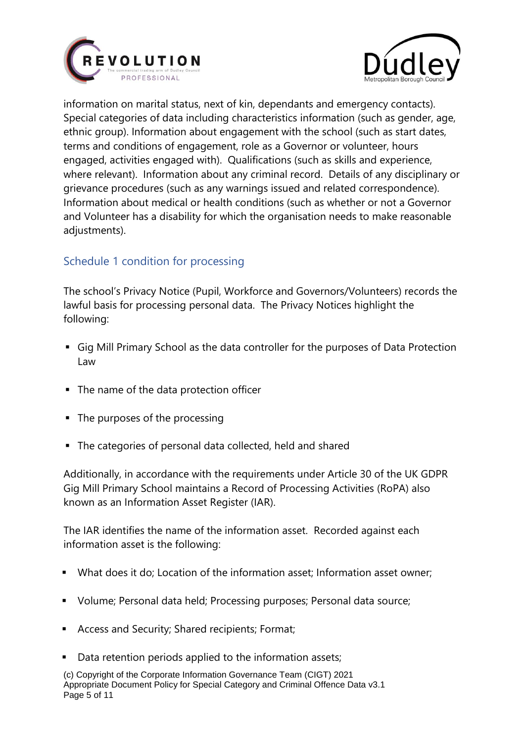



information on marital status, next of kin, dependants and emergency contacts). Special categories of data including characteristics information (such as gender, age, ethnic group). Information about engagement with the school (such as start dates, terms and conditions of engagement, role as a Governor or volunteer, hours engaged, activities engaged with). Qualifications (such as skills and experience, where relevant). Information about any criminal record. Details of any disciplinary or grievance procedures (such as any warnings issued and related correspondence). Information about medical or health conditions (such as whether or not a Governor and Volunteer has a disability for which the organisation needs to make reasonable adjustments).

#### <span id="page-4-0"></span>Schedule 1 condition for processing

The school's Privacy Notice (Pupil, Workforce and Governors/Volunteers) records the lawful basis for processing personal data. The Privacy Notices highlight the following:

- Gig Mill Primary School as the data controller for the purposes of Data Protection Law
- The name of the data protection officer
- The purposes of the processing
- The categories of personal data collected, held and shared

Additionally, in accordance with the requirements under Article 30 of the UK GDPR Gig Mill Primary School maintains a Record of Processing Activities (RoPA) also known as an Information Asset Register (IAR).

The IAR identifies the name of the information asset. Recorded against each information asset is the following:

- What does it do; Location of the information asset; Information asset owner;
- Volume; Personal data held; Processing purposes; Personal data source;
- Access and Security; Shared recipients; Format;
- Data retention periods applied to the information assets;

(c) Copyright of the Corporate Information Governance Team (CIGT) 2021 Appropriate Document Policy for Special Category and Criminal Offence Data v3.1 Page 5 of 11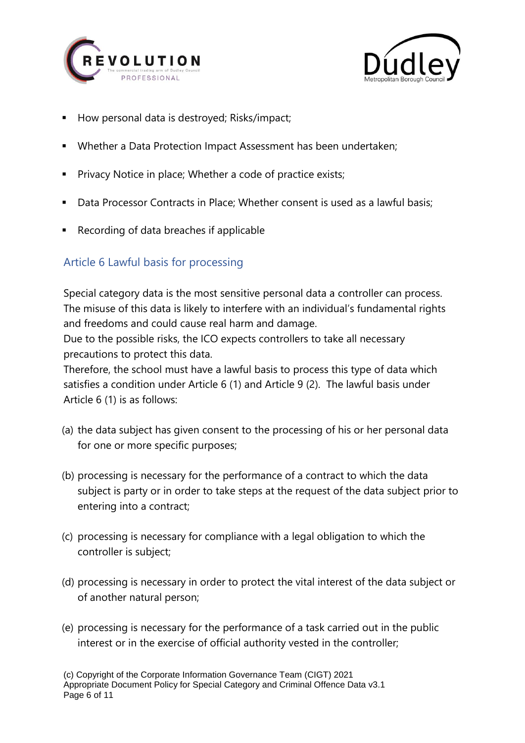



- How personal data is destroyed; Risks/impact;
- Whether a Data Protection Impact Assessment has been undertaken;
- Privacy Notice in place; Whether a code of practice exists;
- **Data Processor Contracts in Place; Whether consent is used as a lawful basis;**
- Recording of data breaches if applicable

#### <span id="page-5-0"></span>Article 6 Lawful basis for processing

Special category data is the most sensitive personal data a controller can process. The misuse of this data is likely to interfere with an individual's fundamental rights and freedoms and could cause real harm and damage.

Due to the possible risks, the ICO expects controllers to take all necessary precautions to protect this data.

Therefore, the school must have a lawful basis to process this type of data which satisfies a condition under Article 6 (1) and Article 9 (2). The lawful basis under Article 6 (1) is as follows:

- (a) the data subject has given consent to the processing of his or her personal data for one or more specific purposes;
- (b) processing is necessary for the performance of a contract to which the data subject is party or in order to take steps at the request of the data subject prior to entering into a contract;
- (c) processing is necessary for compliance with a legal obligation to which the controller is subject;
- (d) processing is necessary in order to protect the vital interest of the data subject or of another natural person;
- (e) processing is necessary for the performance of a task carried out in the public interest or in the exercise of official authority vested in the controller;

(c) Copyright of the Corporate Information Governance Team (CIGT) 2021 Appropriate Document Policy for Special Category and Criminal Offence Data v3.1 Page 6 of 11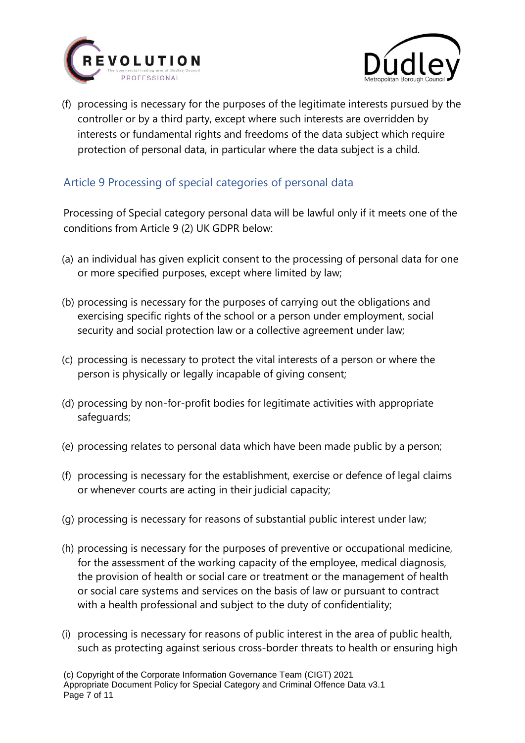![](_page_6_Picture_0.jpeg)

![](_page_6_Picture_1.jpeg)

(f) processing is necessary for the purposes of the legitimate interests pursued by the controller or by a third party, except where such interests are overridden by interests or fundamental rights and freedoms of the data subject which require protection of personal data, in particular where the data subject is a child.

#### <span id="page-6-0"></span>Article 9 Processing of special categories of personal data

Processing of Special category personal data will be lawful only if it meets one of the conditions from Article 9 (2) UK GDPR below:

- (a) an individual has given explicit consent to the processing of personal data for one or more specified purposes, except where limited by law;
- (b) processing is necessary for the purposes of carrying out the obligations and exercising specific rights of the school or a person under employment, social security and social protection law or a collective agreement under law;
- (c) processing is necessary to protect the vital interests of a person or where the person is physically or legally incapable of giving consent;
- (d) processing by non-for-profit bodies for legitimate activities with appropriate safeguards;
- (e) processing relates to personal data which have been made public by a person;
- (f) processing is necessary for the establishment, exercise or defence of legal claims or whenever courts are acting in their judicial capacity;
- (g) processing is necessary for reasons of substantial public interest under law;
- (h) processing is necessary for the purposes of preventive or occupational medicine, for the assessment of the working capacity of the employee, medical diagnosis, the provision of health or social care or treatment or the management of health or social care systems and services on the basis of law or pursuant to contract with a health professional and subject to the duty of confidentiality;
- (i) processing is necessary for reasons of public interest in the area of public health, such as protecting against serious cross-border threats to health or ensuring high

(c) Copyright of the Corporate Information Governance Team (CIGT) 2021 Appropriate Document Policy for Special Category and Criminal Offence Data v3.1 Page 7 of 11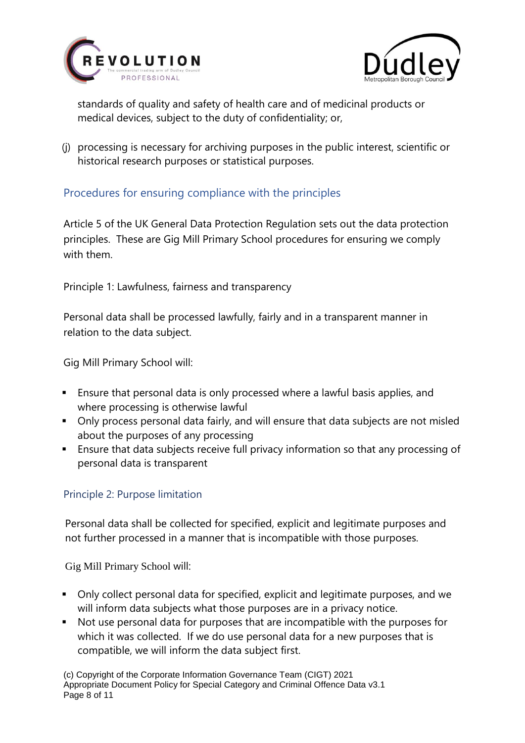![](_page_7_Picture_0.jpeg)

![](_page_7_Picture_1.jpeg)

standards of quality and safety of health care and of medicinal products or medical devices, subject to the duty of confidentiality; or,

(j) processing is necessary for archiving purposes in the public interest, scientific or historical research purposes or statistical purposes.

#### <span id="page-7-0"></span>Procedures for ensuring compliance with the principles

Article 5 of the UK General Data Protection Regulation sets out the data protection principles. These are Gig Mill Primary School procedures for ensuring we comply with them.

<span id="page-7-1"></span>Principle 1: Lawfulness, fairness and transparency

Personal data shall be processed lawfully, fairly and in a transparent manner in relation to the data subject.

Gig Mill Primary School will:

- Ensure that personal data is only processed where a lawful basis applies, and where processing is otherwise lawful
- Only process personal data fairly, and will ensure that data subjects are not misled about the purposes of any processing
- Ensure that data subjects receive full privacy information so that any processing of personal data is transparent

#### <span id="page-7-2"></span>Principle 2: Purpose limitation

Personal data shall be collected for specified, explicit and legitimate purposes and not further processed in a manner that is incompatible with those purposes.

Gig Mill Primary School will:

- Only collect personal data for specified, explicit and legitimate purposes, and we will inform data subjects what those purposes are in a privacy notice.
- Not use personal data for purposes that are incompatible with the purposes for which it was collected. If we do use personal data for a new purposes that is compatible, we will inform the data subject first.

(c) Copyright of the Corporate Information Governance Team (CIGT) 2021 Appropriate Document Policy for Special Category and Criminal Offence Data v3.1 Page 8 of 11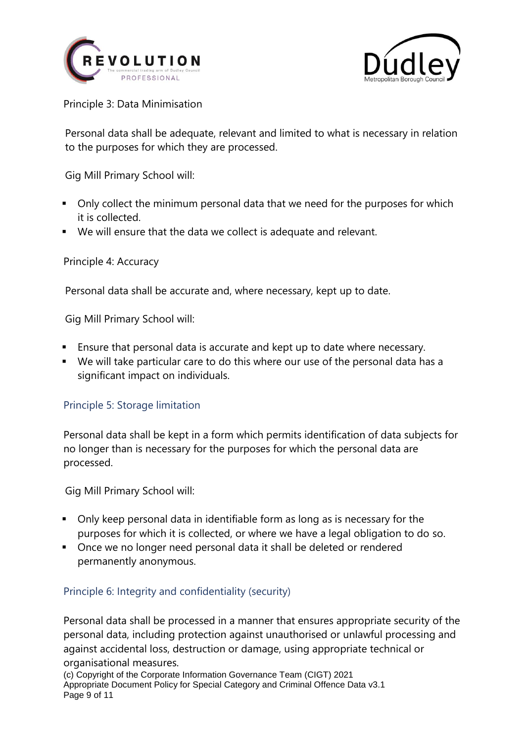![](_page_8_Picture_0.jpeg)

![](_page_8_Picture_1.jpeg)

<span id="page-8-0"></span>Principle 3: Data Minimisation

Personal data shall be adequate, relevant and limited to what is necessary in relation to the purposes for which they are processed.

Gig Mill Primary School will:

- Only collect the minimum personal data that we need for the purposes for which it is collected.
- We will ensure that the data we collect is adequate and relevant.

<span id="page-8-1"></span>Principle 4: Accuracy

Personal data shall be accurate and, where necessary, kept up to date.

Gig Mill Primary School will:

- Ensure that personal data is accurate and kept up to date where necessary.
- We will take particular care to do this where our use of the personal data has a significant impact on individuals.

#### <span id="page-8-2"></span>Principle 5: Storage limitation

Personal data shall be kept in a form which permits identification of data subjects for no longer than is necessary for the purposes for which the personal data are processed.

Gig Mill Primary School will:

- Only keep personal data in identifiable form as long as is necessary for the purposes for which it is collected, or where we have a legal obligation to do so.
- Once we no longer need personal data it shall be deleted or rendered permanently anonymous.

#### <span id="page-8-3"></span>Principle 6: Integrity and confidentiality (security)

Personal data shall be processed in a manner that ensures appropriate security of the personal data, including protection against unauthorised or unlawful processing and against accidental loss, destruction or damage, using appropriate technical or organisational measures.

(c) Copyright of the Corporate Information Governance Team (CIGT) 2021 Appropriate Document Policy for Special Category and Criminal Offence Data v3.1 Page 9 of 11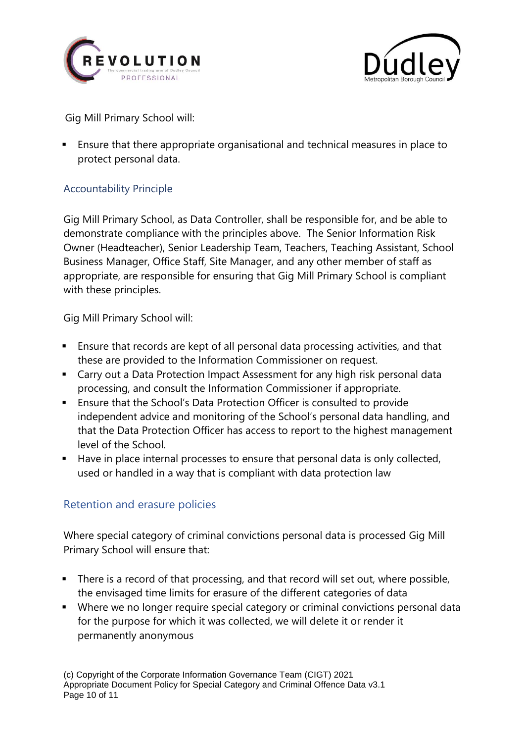![](_page_9_Picture_0.jpeg)

![](_page_9_Picture_1.jpeg)

Gig Mill Primary School will:

▪ Ensure that there appropriate organisational and technical measures in place to protect personal data.

#### <span id="page-9-0"></span>Accountability Principle

Gig Mill Primary School, as Data Controller, shall be responsible for, and be able to demonstrate compliance with the principles above. The Senior Information Risk Owner (Headteacher), Senior Leadership Team, Teachers, Teaching Assistant, School Business Manager, Office Staff, Site Manager, and any other member of staff as appropriate, are responsible for ensuring that Gig Mill Primary School is compliant with these principles.

Gig Mill Primary School will:

- Ensure that records are kept of all personal data processing activities, and that these are provided to the Information Commissioner on request.
- Carry out a Data Protection Impact Assessment for any high risk personal data processing, and consult the Information Commissioner if appropriate.
- Ensure that the School's Data Protection Officer is consulted to provide independent advice and monitoring of the School's personal data handling, and that the Data Protection Officer has access to report to the highest management level of the School.
- Have in place internal processes to ensure that personal data is only collected, used or handled in a way that is compliant with data protection law

#### <span id="page-9-1"></span>Retention and erasure policies

Where special category of criminal convictions personal data is processed Gig Mill Primary School will ensure that:

- There is a record of that processing, and that record will set out, where possible, the envisaged time limits for erasure of the different categories of data
- Where we no longer require special category or criminal convictions personal data for the purpose for which it was collected, we will delete it or render it permanently anonymous

(c) Copyright of the Corporate Information Governance Team (CIGT) 2021 Appropriate Document Policy for Special Category and Criminal Offence Data v3.1 Page 10 of 11